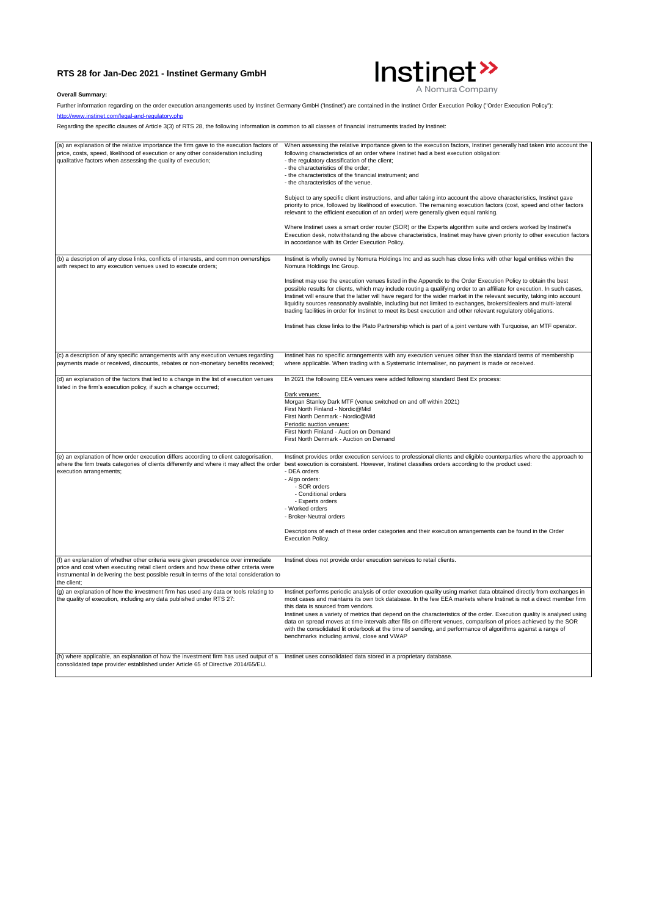## **RTS 28 for Jan-Dec 2021 - Instinet Germany GmbH**



## **Overall Summary:**

Further information regarding on the order execution arrangements used by Instinet Germany GmbH ('Instinet') are contained in the Instinet Order Execution Policy ("Order Execution Policy"):

<http://www.instinet.com/legal-and-regulatory.php>

Regarding the specific clauses of Article 3(3) of RTS 28, the following information is common to all classes of financial instruments traded by Instinet:

| (a) an explanation of the relative importance the firm gave to the execution factors of<br>price, costs, speed, likelihood of execution or any other consideration including<br>qualitative factors when assessing the quality of execution;                                           | When assessing the relative importance given to the execution factors, Instinet generally had taken into account the<br>following characteristics of an order where Instinet had a best execution obligation:<br>- the regulatory classification of the client;<br>- the characteristics of the order;<br>- the characteristics of the financial instrument; and<br>- the characteristics of the venue.<br>Subject to any specific client instructions, and after taking into account the above characteristics, Instinet gave<br>priority to price, followed by likelihood of execution. The remaining execution factors (cost, speed and other factors<br>relevant to the efficient execution of an order) were generally given equal ranking.<br>Where Instinet uses a smart order router (SOR) or the Experts algorithm suite and orders worked by Instinet's<br>Execution desk, notwithstanding the above characteristics, Instinet may have given priority to other execution factors<br>in accordance with its Order Execution Policy. |
|----------------------------------------------------------------------------------------------------------------------------------------------------------------------------------------------------------------------------------------------------------------------------------------|-----------------------------------------------------------------------------------------------------------------------------------------------------------------------------------------------------------------------------------------------------------------------------------------------------------------------------------------------------------------------------------------------------------------------------------------------------------------------------------------------------------------------------------------------------------------------------------------------------------------------------------------------------------------------------------------------------------------------------------------------------------------------------------------------------------------------------------------------------------------------------------------------------------------------------------------------------------------------------------------------------------------------------------------------|
| (b) a description of any close links, conflicts of interests, and common ownerships<br>with respect to any execution venues used to execute orders;                                                                                                                                    | Instinet is wholly owned by Nomura Holdings Inc and as such has close links with other legal entities within the<br>Nomura Holdings Inc Group.                                                                                                                                                                                                                                                                                                                                                                                                                                                                                                                                                                                                                                                                                                                                                                                                                                                                                                |
|                                                                                                                                                                                                                                                                                        | Instinet may use the execution venues listed in the Appendix to the Order Execution Policy to obtain the best<br>possible results for clients, which may include routing a qualifying order to an affiliate for execution. In such cases,<br>Instinet will ensure that the latter will have regard for the wider market in the relevant security, taking into account<br>liquidity sources reasonably available, including but not limited to exchanges, brokers/dealers and multi-lateral<br>trading facilities in order for Instinet to meet its best execution and other relevant regulatory obligations.                                                                                                                                                                                                                                                                                                                                                                                                                                  |
|                                                                                                                                                                                                                                                                                        | Instinet has close links to the Plato Partnership which is part of a joint venture with Turquoise, an MTF operator.                                                                                                                                                                                                                                                                                                                                                                                                                                                                                                                                                                                                                                                                                                                                                                                                                                                                                                                           |
| (c) a description of any specific arrangements with any execution venues regarding<br>payments made or received, discounts, rebates or non-monetary benefits received;                                                                                                                 | Instinet has no specific arrangements with any execution venues other than the standard terms of membership<br>where applicable. When trading with a Systematic Internaliser, no payment is made or received.                                                                                                                                                                                                                                                                                                                                                                                                                                                                                                                                                                                                                                                                                                                                                                                                                                 |
| (d) an explanation of the factors that led to a change in the list of execution venues<br>listed in the firm's execution policy, if such a change occurred;                                                                                                                            | In 2021 the following EEA venues were added following standard Best Ex process:                                                                                                                                                                                                                                                                                                                                                                                                                                                                                                                                                                                                                                                                                                                                                                                                                                                                                                                                                               |
|                                                                                                                                                                                                                                                                                        | Dark venues:<br>Morgan Stanley Dark MTF (venue switched on and off within 2021)<br>First North Finland - Nordic@Mid<br>First North Denmark - Nordic@Mid<br>Periodic auction venues:<br>First North Finland - Auction on Demand<br>First North Denmark - Auction on Demand                                                                                                                                                                                                                                                                                                                                                                                                                                                                                                                                                                                                                                                                                                                                                                     |
| (e) an explanation of how order execution differs according to client categorisation,<br>execution arrangements;                                                                                                                                                                       | Instinet provides order execution services to professional clients and eligible counterparties where the approach to<br>where the firm treats categories of clients differently and where it may affect the order best execution is consistent. However, Instinet classifies orders according to the product used:<br>- DEA orders<br>- Algo orders:<br>- SOR orders<br>- Conditional orders<br>- Experts orders<br>- Worked orders<br>- Broker-Neutral orders<br>Descriptions of each of these order categories and their execution arrangements can be found in the Order<br><b>Execution Policy.</b>                                                                                                                                                                                                                                                                                                                                                                                                                                       |
| (f) an explanation of whether other criteria were given precedence over immediate<br>price and cost when executing retail client orders and how these other criteria were<br>instrumental in delivering the best possible result in terms of the total consideration to<br>the client: | Instinet does not provide order execution services to retail clients.                                                                                                                                                                                                                                                                                                                                                                                                                                                                                                                                                                                                                                                                                                                                                                                                                                                                                                                                                                         |
| (g) an explanation of how the investment firm has used any data or tools relating to<br>the quality of execution, including any data published under RTS 27:                                                                                                                           | Instinet performs periodic analysis of order execution quality using market data obtained directly from exchanges in<br>most cases and maintains its own tick database. In the few EEA markets where Instinet is not a direct member firm<br>this data is sourced from vendors.<br>Instinet uses a variety of metrics that depend on the characteristics of the order. Execution quality is analysed using<br>data on spread moves at time intervals after fills on different venues, comparison of prices achieved by the SOR<br>with the consolidated lit orderbook at the time of sending, and performance of algorithms against a range of<br>benchmarks including arrival, close and VWAP                                                                                                                                                                                                                                                                                                                                                |
| (h) where applicable, an explanation of how the investment firm has used output of a Instinet uses consolidated data stored in a proprietary database.<br>consolidated tape provider established under Article 65 of Directive 2014/65/EU.                                             |                                                                                                                                                                                                                                                                                                                                                                                                                                                                                                                                                                                                                                                                                                                                                                                                                                                                                                                                                                                                                                               |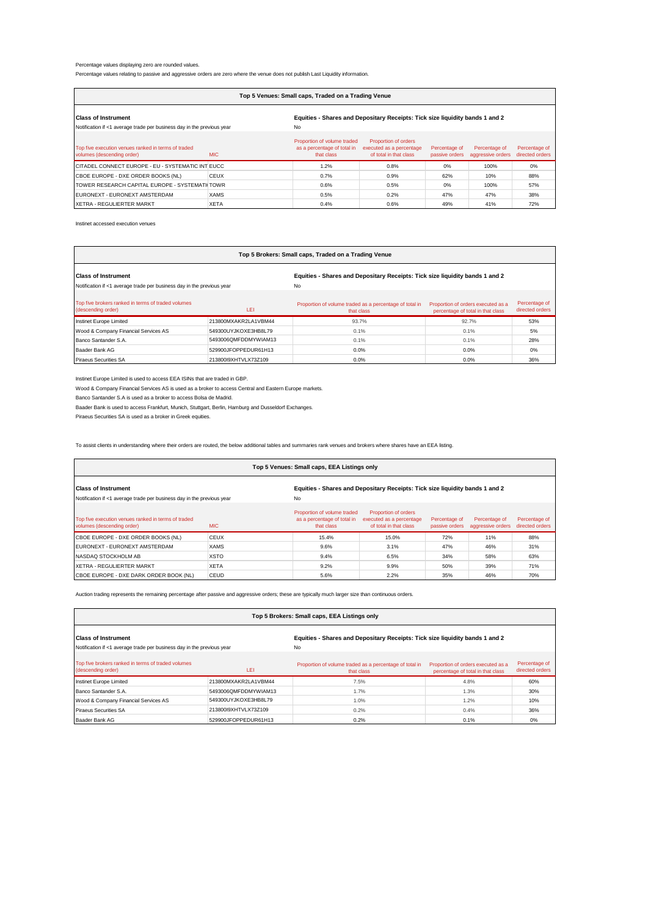## Percentage values displaying zero are rounded values.

Percentage values relating to passive and aggressive orders are zero where the venue does not publish Last Liquidity information.

| Top 5 Venues: Small caps, Traded on a Trading Venue                                                        |             |                                                                          |                                                                            |                                 |                                    |                                  |  |
|------------------------------------------------------------------------------------------------------------|-------------|--------------------------------------------------------------------------|----------------------------------------------------------------------------|---------------------------------|------------------------------------|----------------------------------|--|
| <b>Class of Instrument</b><br>Equities - Shares and Depositary Receipts: Tick size liquidity bands 1 and 2 |             |                                                                          |                                                                            |                                 |                                    |                                  |  |
| Notification if <1 average trade per business day in the previous year<br>No                               |             |                                                                          |                                                                            |                                 |                                    |                                  |  |
| Top five execution venues ranked in terms of traded<br>volumes (descending order)                          | MIC.        | Proportion of volume traded<br>as a percentage of total in<br>that class | Proportion of orders<br>executed as a percentage<br>of total in that class | Percentage of<br>passive orders | Percentage of<br>aggressive orders | Percentage of<br>directed orders |  |
| CITADEL CONNECT EUROPE - EU - SYSTEMATIC INT EUCC.                                                         |             | 1.2%                                                                     | 0.8%                                                                       | 0%                              | 100%                               | 0%                               |  |
| CBOE EUROPE - DXE ORDER BOOKS (NL)                                                                         | <b>CEUX</b> | 0.7%                                                                     | 0.9%                                                                       | 62%                             | 10%                                | 88%                              |  |
| TOWER RESEARCH CAPITAL EUROPE - SYSTEMATI TOWR                                                             |             | 0.6%                                                                     | 0.5%                                                                       | 0%                              | 100%                               | 57%                              |  |
| FURONEXT - FURONEXT AMSTERDAM                                                                              | <b>XAMS</b> | 0.5%                                                                     | 0.2%                                                                       | 47%                             | 47%                                | 38%                              |  |
| XETRA - REGULIERTER MARKT                                                                                  | <b>XETA</b> | 0.4%                                                                     | 0.6%                                                                       | 49%                             | 41%                                | 72%                              |  |

Instinet accessed execution venues

## **Top 5 Brokers: Small caps, Traded on a Trading Venue**

| <b>Class of Instrument</b><br>Notification if <1 average trade per business day in the previous year |                      | Equities - Shares and Depositary Receipts: Tick size liquidity bands 1 and 2<br>No |                                                                         |                                  |  |  |
|------------------------------------------------------------------------------------------------------|----------------------|------------------------------------------------------------------------------------|-------------------------------------------------------------------------|----------------------------------|--|--|
| Top five brokers ranked in terms of traded volumes<br>(descending order)                             | LEI                  | Proportion of volume traded as a percentage of total in<br>that class              | Proportion of orders executed as a<br>percentage of total in that class | Percentage of<br>directed orders |  |  |
| Instinet Europe Limited                                                                              | 213800MXAKR2LA1VBM44 | 93.7%                                                                              | 92.7%                                                                   | 53%                              |  |  |
| Wood & Company Financial Services AS                                                                 | 549300UYJKOXE3HB8L79 | 0.1%                                                                               | 0.1%                                                                    | 5%                               |  |  |
| Banco Santander S.A.                                                                                 | 5493006QMFDDMYWIAM13 | 0.1%                                                                               | 0.1%                                                                    | 28%                              |  |  |
| Baader Bank AG                                                                                       | 529900JFOPPEDUR61H13 | 0.0%                                                                               | 0.0%                                                                    | 0%                               |  |  |
| <b>Piraeus Securities SA</b>                                                                         | 213800I9XHTVLX73Z109 | $0.0\%$                                                                            | 0.0%                                                                    | 36%                              |  |  |

Instinet Europe Limited is used to access EEA ISINs that are traded in GBP.

Wood & Company Financial Services AS is used as a broker to access Central and Eastern Europe markets.

Banco Santander S.A is used as a broker to access Bolsa de Madrid.

Baader Bank is used to access Frankfurt, Munich, Stuttgart, Berlin, Hamburg and Dusseldorf Exchanges.

Piraeus Securities SA is used as a broker in Greek equities.

To assist clients in understanding where their orders are routed, the below additional tables and summaries rank venues and brokers where shares have an EEA listing.

| Top 5 Venues: Small caps, EEA Listings only                                                     |                                                                              |                                                                          |                                                                            |                                 |                                    |                                  |  |
|-------------------------------------------------------------------------------------------------|------------------------------------------------------------------------------|--------------------------------------------------------------------------|----------------------------------------------------------------------------|---------------------------------|------------------------------------|----------------------------------|--|
| <b>Class of Instrument</b>                                                                      | Equities - Shares and Depositary Receipts: Tick size liquidity bands 1 and 2 |                                                                          |                                                                            |                                 |                                    |                                  |  |
| Notification if <1 average trade per business day in the previous year                          |                                                                              | No                                                                       |                                                                            |                                 |                                    |                                  |  |
| Top five execution venues ranked in terms of traded<br><b>MIC</b><br>volumes (descending order) |                                                                              | Proportion of volume traded<br>as a percentage of total in<br>that class | Proportion of orders<br>executed as a percentage<br>of total in that class | Percentage of<br>passive orders | Percentage of<br>aggressive orders | Percentage of<br>directed orders |  |
| CBOE EUROPE - DXE ORDER BOOKS (NL)                                                              | <b>CEUX</b>                                                                  | 15.4%                                                                    | 15.0%                                                                      | 72%                             | 11%                                | 88%                              |  |
| EURONEXT - EURONEXT AMSTERDAM                                                                   | <b>XAMS</b>                                                                  | 9.6%                                                                     | 3.1%                                                                       | 47%                             | 46%                                | 31%                              |  |
| NASDAQ STOCKHOLM AB                                                                             | <b>XSTO</b>                                                                  | 9.4%                                                                     | 6.5%                                                                       | 34%                             | 58%                                | 63%                              |  |
| XETRA - REGULIERTER MARKT                                                                       | <b>XETA</b>                                                                  | 9.2%                                                                     | 9.9%                                                                       | 50%                             | 39%                                | 71%                              |  |
| <b>CBOE EUROPE - DXE DARK ORDER BOOK (NL)</b>                                                   | CEUD                                                                         | 5.6%                                                                     | 2.2%                                                                       | 35%                             | 46%                                | 70%                              |  |

Auction trading represents the remaining percentage after passive and aggressive orders; these are typically much larger size than continuous orders.

| Top 5 Brokers: Small caps, EEA Listings only                                                         |                      |                                                                                    |                                                                         |                                  |  |  |  |
|------------------------------------------------------------------------------------------------------|----------------------|------------------------------------------------------------------------------------|-------------------------------------------------------------------------|----------------------------------|--|--|--|
| <b>Class of Instrument</b><br>Notification if <1 average trade per business day in the previous year |                      | Equities - Shares and Depositary Receipts: Tick size liquidity bands 1 and 2<br>No |                                                                         |                                  |  |  |  |
| Top five brokers ranked in terms of traded volumes<br>(descending order)                             | LEI                  | Proportion of volume traded as a percentage of total in<br>that class              | Proportion of orders executed as a<br>percentage of total in that class | Percentage of<br>directed orders |  |  |  |
| Instinet Europe Limited                                                                              | 213800MXAKR2LA1VBM44 | 7.5%                                                                               | 4.8%                                                                    | 60%                              |  |  |  |
| Banco Santander S.A.                                                                                 | 5493006QMFDDMYWIAM13 | 1.7%                                                                               | 1.3%                                                                    | 30%                              |  |  |  |
| Wood & Company Financial Services AS                                                                 | 549300UYJKOXE3HB8L79 | 1.0%                                                                               | 1.2%                                                                    | 10%                              |  |  |  |
| <b>Piraeus Securities SA</b>                                                                         | 213800I9XHTVLX73Z109 | 0.2%                                                                               | 0.4%                                                                    | 36%                              |  |  |  |
| Baader Bank AG                                                                                       | 529900JFOPPEDUR61H13 | 0.2%                                                                               | 0.1%                                                                    | 0%                               |  |  |  |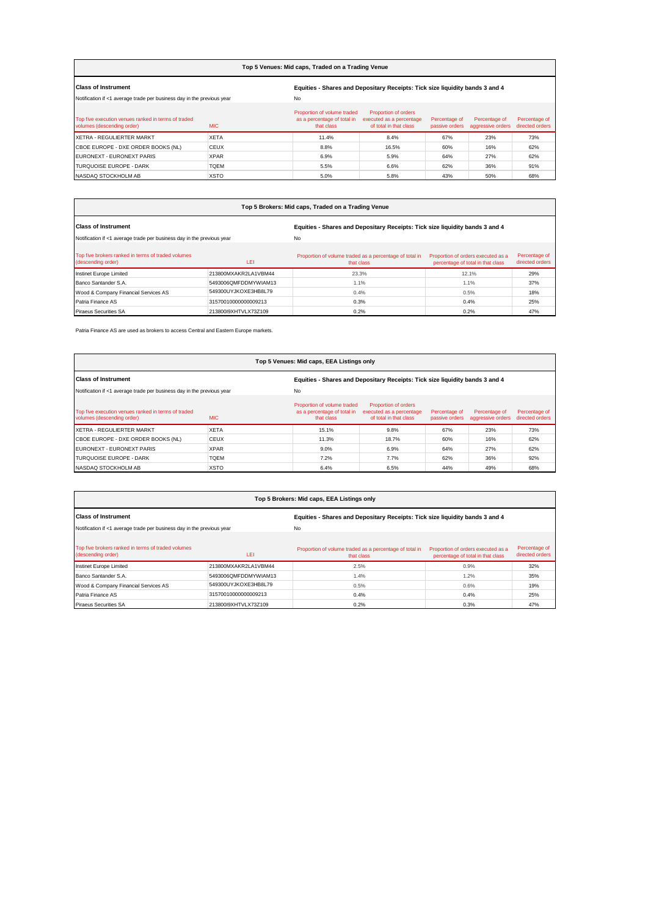| Top 5 Venues: Mid caps, Traded on a Trading Venue                                 |                                                                              |                                                                          |                                                                            |                                 |                                    |                                  |
|-----------------------------------------------------------------------------------|------------------------------------------------------------------------------|--------------------------------------------------------------------------|----------------------------------------------------------------------------|---------------------------------|------------------------------------|----------------------------------|
| <b>Class of Instrument</b>                                                        | Equities - Shares and Depositary Receipts: Tick size liquidity bands 3 and 4 |                                                                          |                                                                            |                                 |                                    |                                  |
| Notification if <1 average trade per business day in the previous year            |                                                                              | No                                                                       |                                                                            |                                 |                                    |                                  |
| Top five execution venues ranked in terms of traded<br>volumes (descending order) | <b>MIC</b>                                                                   | Proportion of volume traded<br>as a percentage of total in<br>that class | Proportion of orders<br>executed as a percentage<br>of total in that class | Percentage of<br>passive orders | Percentage of<br>aggressive orders | Percentage of<br>directed orders |
| XETRA - REGULIERTER MARKT                                                         | <b>XETA</b>                                                                  | 11.4%                                                                    | 8.4%                                                                       | 67%                             | 23%                                | 73%                              |
| CBOE EUROPE - DXE ORDER BOOKS (NL)                                                | <b>CEUX</b>                                                                  | 8.8%                                                                     | 16.5%                                                                      | 60%                             | 16%                                | 62%                              |
| EURONEXT - EURONEXT PARIS                                                         | <b>XPAR</b>                                                                  | 6.9%                                                                     | 5.9%                                                                       | 64%                             | 27%                                | 62%                              |
| TURQUOISE EUROPE - DARK                                                           | <b>TOEM</b>                                                                  | 5.5%                                                                     | 6.6%                                                                       | 62%                             | 36%                                | 91%                              |

NASDAQ STOCKHOLM AB XSTO 5.0% 5.8% 43% 50% 68%

| Top 5 Brokers: Mid caps, Traded on a Trading Venue                       |                      |                                                                              |                                                                         |                                  |  |  |  |
|--------------------------------------------------------------------------|----------------------|------------------------------------------------------------------------------|-------------------------------------------------------------------------|----------------------------------|--|--|--|
| <b>Class of Instrument</b>                                               |                      | Equities - Shares and Depositary Receipts: Tick size liquidity bands 3 and 4 |                                                                         |                                  |  |  |  |
| Notification if <1 average trade per business day in the previous year   |                      | No                                                                           |                                                                         |                                  |  |  |  |
| Top five brokers ranked in terms of traded volumes<br>(descending order) | LEI                  | Proportion of volume traded as a percentage of total in<br>that class        | Proportion of orders executed as a<br>percentage of total in that class | Percentage of<br>directed orders |  |  |  |
| Instinet Europe Limited                                                  | 213800MXAKR2LA1VBM44 | 23.3%                                                                        | 12.1%                                                                   | 29%                              |  |  |  |
| Banco Santander S.A.                                                     | 5493006QMFDDMYWIAM13 | 1.1%                                                                         | 1.1%                                                                    | 37%                              |  |  |  |
| Wood & Company Financial Services AS                                     | 549300UYJKOXE3HB8L79 | 0.4%                                                                         | 0.5%                                                                    | 18%                              |  |  |  |
| Patria Finance AS                                                        | 31570010000000009213 | 0.3%                                                                         | 0.4%                                                                    | 25%                              |  |  |  |
| <b>Piraeus Securities SA</b>                                             | 213800I9XHTVLX73Z109 | 0.2%                                                                         | 0.2%                                                                    | 47%                              |  |  |  |

Patria Finance AS are used as brokers to access Central and Eastern Europe markets.

| Top 5 Venues: Mid caps, EEA Listings only                                                       |                                                                              |                                                                          |                                                                            |                                 |                                    |                                  |  |
|-------------------------------------------------------------------------------------------------|------------------------------------------------------------------------------|--------------------------------------------------------------------------|----------------------------------------------------------------------------|---------------------------------|------------------------------------|----------------------------------|--|
| <b>Class of Instrument</b>                                                                      | Equities - Shares and Depositary Receipts: Tick size liquidity bands 3 and 4 |                                                                          |                                                                            |                                 |                                    |                                  |  |
| No<br>Notification if <1 average trade per business day in the previous year                    |                                                                              |                                                                          |                                                                            |                                 |                                    |                                  |  |
| Top five execution venues ranked in terms of traded<br><b>MIC</b><br>volumes (descending order) |                                                                              | Proportion of volume traded<br>as a percentage of total in<br>that class | Proportion of orders<br>executed as a percentage<br>of total in that class | Percentage of<br>passive orders | Percentage of<br>aggressive orders | Percentage of<br>directed orders |  |
| XETRA - REGULIERTER MARKT                                                                       | <b>XETA</b>                                                                  | 15.1%                                                                    | 9.8%                                                                       | 67%                             | 23%                                | 73%                              |  |
| CBOE EUROPE - DXE ORDER BOOKS (NL)                                                              | <b>CEUX</b>                                                                  | 11.3%                                                                    | 18.7%                                                                      | 60%                             | 16%                                | 62%                              |  |
| EURONEXT - EURONEXT PARIS                                                                       | <b>XPAR</b>                                                                  | 9.0%                                                                     | 6.9%                                                                       | 64%                             | 27%                                | 62%                              |  |
| TURQUOISE EUROPE - DARK                                                                         | <b>TOEM</b>                                                                  | 7.2%                                                                     | 7.7%                                                                       | 62%                             | 36%                                | 92%                              |  |
| NASDAQ STOCKHOLM AB                                                                             | <b>XSTO</b>                                                                  | 6.4%                                                                     | 6.5%                                                                       | 44%                             | 49%                                | 68%                              |  |

| Top 5 Brokers: Mid caps, EEA Listings only                               |                      |                                                                              |                                                                         |                                  |  |  |  |
|--------------------------------------------------------------------------|----------------------|------------------------------------------------------------------------------|-------------------------------------------------------------------------|----------------------------------|--|--|--|
| <b>Class of Instrument</b>                                               |                      | Equities - Shares and Depositary Receipts: Tick size liquidity bands 3 and 4 |                                                                         |                                  |  |  |  |
| Notification if <1 average trade per business day in the previous year   |                      | No                                                                           |                                                                         |                                  |  |  |  |
| Top five brokers ranked in terms of traded volumes<br>(descending order) | LEI                  | Proportion of volume traded as a percentage of total in<br>that class        | Proportion of orders executed as a<br>percentage of total in that class | Percentage of<br>directed orders |  |  |  |
| Instinet Europe Limited                                                  | 213800MXAKR2LA1VBM44 | 2.5%                                                                         | 0.9%                                                                    | 32%                              |  |  |  |
| Banco Santander S.A.                                                     | 5493006QMFDDMYWIAM13 | 1.4%                                                                         | 1.2%                                                                    | 35%                              |  |  |  |
| Wood & Company Financial Services AS                                     | 549300UYJKOXE3HB8L79 | 0.5%                                                                         | 0.6%                                                                    | 19%                              |  |  |  |
| Patria Finance AS                                                        | 31570010000000009213 | 0.4%                                                                         | 0.4%                                                                    | 25%                              |  |  |  |
| <b>Piraeus Securities SA</b>                                             | 213800I9XHTVLX73Z109 | 0.2%                                                                         | 0.3%                                                                    | 47%                              |  |  |  |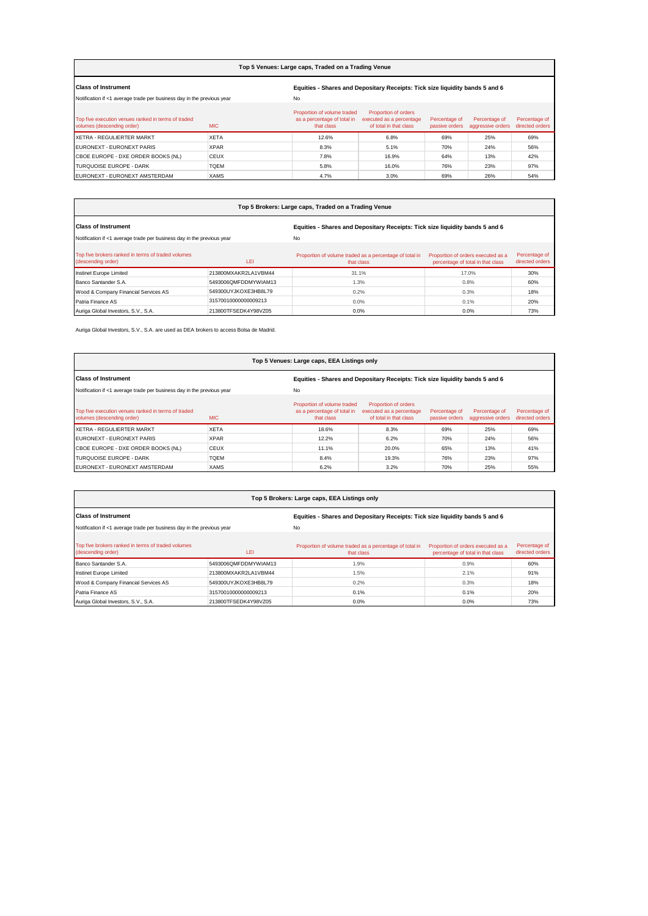| Top 5 Venues: Large caps, Traded on a Trading Venue                                             |                                                                              |                                                                          |                                                                            |                                 |                                    |                                  |  |
|-------------------------------------------------------------------------------------------------|------------------------------------------------------------------------------|--------------------------------------------------------------------------|----------------------------------------------------------------------------|---------------------------------|------------------------------------|----------------------------------|--|
| <b>Class of Instrument</b>                                                                      | Equities - Shares and Depositary Receipts: Tick size liquidity bands 5 and 6 |                                                                          |                                                                            |                                 |                                    |                                  |  |
| Notification if <1 average trade per business day in the previous year                          |                                                                              | No                                                                       |                                                                            |                                 |                                    |                                  |  |
| Top five execution venues ranked in terms of traded<br><b>MIC</b><br>volumes (descending order) |                                                                              | Proportion of volume traded<br>as a percentage of total in<br>that class | Proportion of orders<br>executed as a percentage<br>of total in that class | Percentage of<br>passive orders | Percentage of<br>aggressive orders | Percentage of<br>directed orders |  |
| XETRA - REGULIERTER MARKT                                                                       | <b>XETA</b>                                                                  | 12.6%                                                                    | 6.8%                                                                       | 69%                             | 25%                                | 69%                              |  |
| EURONEXT - EURONEXT PARIS                                                                       | <b>XPAR</b>                                                                  | 8.3%                                                                     | 5.1%                                                                       | 70%                             | 24%                                | 56%                              |  |
| <b>CBOE EUROPE - DXE ORDER BOOKS (NL)</b>                                                       | <b>CEUX</b>                                                                  | 7.8%                                                                     | 16.9%                                                                      | 64%                             | 13%                                | 42%                              |  |
| TURQUOISE FUROPE - DARK                                                                         | <b>TOEM</b>                                                                  | 5.8%                                                                     | 16.0%                                                                      | 76%                             | 23%                                | 97%                              |  |
| EURONEXT - EURONEXT AMSTERDAM                                                                   | <b>XAMS</b>                                                                  | 4.7%                                                                     | 3.0%                                                                       | 69%                             | 26%                                | 54%                              |  |

| Top 5 Brokers: Large caps, Traded on a Trading Venue                     |                      |                                                                              |                                                                         |                                  |  |  |  |
|--------------------------------------------------------------------------|----------------------|------------------------------------------------------------------------------|-------------------------------------------------------------------------|----------------------------------|--|--|--|
| <b>Class of Instrument</b>                                               |                      | Equities - Shares and Depositary Receipts: Tick size liquidity bands 5 and 6 |                                                                         |                                  |  |  |  |
| Notification if <1 average trade per business day in the previous year   |                      | <b>No</b>                                                                    |                                                                         |                                  |  |  |  |
| Top five brokers ranked in terms of traded volumes<br>(descending order) | LEI                  | Proportion of volume traded as a percentage of total in<br>that class        | Proportion of orders executed as a<br>percentage of total in that class | Percentage of<br>directed orders |  |  |  |
| Instinet Europe Limited                                                  | 213800MXAKR2LA1VBM44 | 31.1%                                                                        | 17.0%                                                                   | 30%                              |  |  |  |
| Banco Santander S.A.                                                     | 5493006QMFDDMYWIAM13 | 1.3%                                                                         | 0.8%                                                                    | 60%                              |  |  |  |
| Wood & Company Financial Services AS                                     | 549300UYJKOXE3HB8L79 | 0.2%                                                                         | 0.3%                                                                    | 18%                              |  |  |  |
| Patria Finance AS                                                        | 31570010000000009213 | $0.0\%$                                                                      | 0.1%                                                                    | 20%                              |  |  |  |
| Auriga Global Investors, S.V., S.A.                                      | 213800TFSEDK4Y98VZ05 | 0.0%                                                                         | 0.0%                                                                    | 73%                              |  |  |  |

Auriga Global Investors, S.V., S.A. are used as DEA brokers to access Bolsa de Madrid.

| Top 5 Venues: Large caps, EEA Listings only                                                     |                                                                              |                                                                          |                                                                            |                                 |                                    |                                  |  |
|-------------------------------------------------------------------------------------------------|------------------------------------------------------------------------------|--------------------------------------------------------------------------|----------------------------------------------------------------------------|---------------------------------|------------------------------------|----------------------------------|--|
| <b>Class of Instrument</b>                                                                      | Equities - Shares and Depositary Receipts: Tick size liquidity bands 5 and 6 |                                                                          |                                                                            |                                 |                                    |                                  |  |
| Notification if <1 average trade per business day in the previous year                          |                                                                              | No                                                                       |                                                                            |                                 |                                    |                                  |  |
| Top five execution venues ranked in terms of traded<br>volumes (descending order)<br><b>MIC</b> |                                                                              | Proportion of volume traded<br>as a percentage of total in<br>that class | Proportion of orders<br>executed as a percentage<br>of total in that class | Percentage of<br>passive orders | Percentage of<br>aggressive orders | Percentage of<br>directed orders |  |
| XETRA - REGULIERTER MARKT                                                                       | <b>XETA</b>                                                                  | 18.6%                                                                    | 8.3%                                                                       | 69%                             | 25%                                | 69%                              |  |
| EURONEXT - EURONEXT PARIS                                                                       | <b>XPAR</b>                                                                  | 12.2%                                                                    | 6.2%                                                                       | 70%                             | 24%                                | 56%                              |  |
| CBOE EUROPE - DXE ORDER BOOKS (NL)                                                              | <b>CEUX</b>                                                                  | 11.1%                                                                    | 20.0%                                                                      | 65%                             | 13%                                | 41%                              |  |
| TURQUOISE EUROPE - DARK                                                                         | <b>TQEM</b>                                                                  | 8.4%                                                                     | 19.3%                                                                      | 76%                             | 23%                                | 97%                              |  |
| EURONEXT - EURONEXT AMSTERDAM                                                                   | <b>XAMS</b>                                                                  | 6.2%                                                                     | 3.2%                                                                       | 70%                             | 25%                                | 55%                              |  |

| Top 5 Brokers: Large caps, EEA Listings only                             |                                                                              |                                                                       |                                                                         |                                  |  |  |  |  |  |
|--------------------------------------------------------------------------|------------------------------------------------------------------------------|-----------------------------------------------------------------------|-------------------------------------------------------------------------|----------------------------------|--|--|--|--|--|
| <b>Class of Instrument</b>                                               | Equities - Shares and Depositary Receipts: Tick size liquidity bands 5 and 6 |                                                                       |                                                                         |                                  |  |  |  |  |  |
| Notification if <1 average trade per business day in the previous year   |                                                                              | No                                                                    |                                                                         |                                  |  |  |  |  |  |
| Top five brokers ranked in terms of traded volumes<br>(descending order) | LEI                                                                          | Proportion of volume traded as a percentage of total in<br>that class | Proportion of orders executed as a<br>percentage of total in that class | Percentage of<br>directed orders |  |  |  |  |  |
| Banco Santander S.A.                                                     | 5493006QMFDDMYWIAM13                                                         | 1.9%                                                                  | 0.9%                                                                    | 60%                              |  |  |  |  |  |
| Instinet Europe Limited                                                  | 213800MXAKR2LA1VBM44                                                         | 1.5%                                                                  | 2.1%                                                                    | 91%                              |  |  |  |  |  |
| Wood & Company Financial Services AS                                     | 549300UYJKOXE3HB8L79                                                         | 0.2%                                                                  | 0.3%                                                                    | 18%                              |  |  |  |  |  |
| Patria Finance AS                                                        | 31570010000000009213                                                         | 0.1%                                                                  | 0.1%                                                                    | 20%                              |  |  |  |  |  |
| Auriga Global Investors, S.V., S.A.                                      | 213800TFSEDK4Y98VZ05                                                         | $0.0\%$                                                               | 0.0%                                                                    | 73%                              |  |  |  |  |  |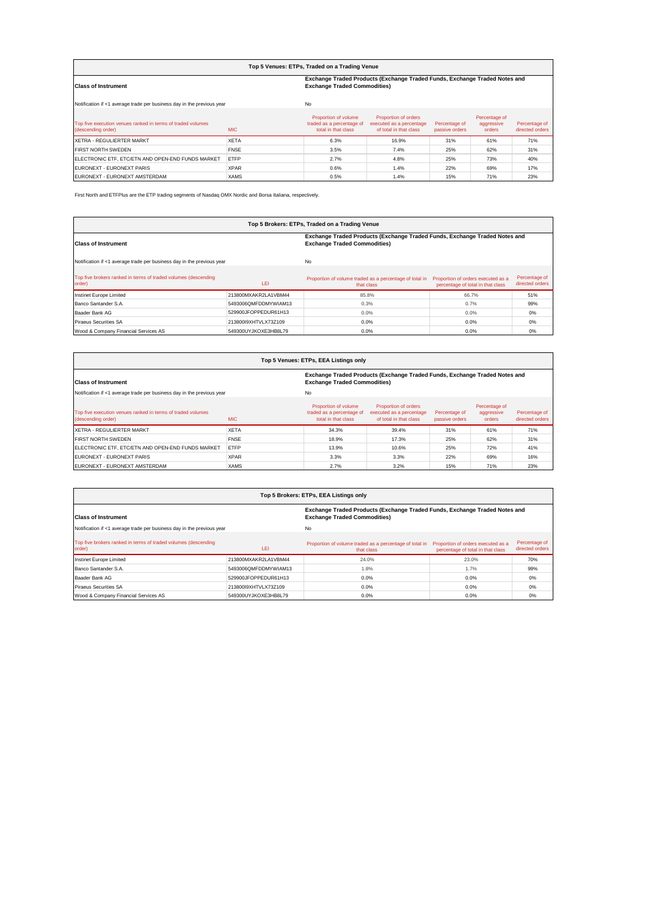| Top 5 Venues: ETPs, Traded on a Trading Venue                                                                                                   |             |                                                                          |                                                                            |                                 |                                       |                                  |  |  |
|-------------------------------------------------------------------------------------------------------------------------------------------------|-------------|--------------------------------------------------------------------------|----------------------------------------------------------------------------|---------------------------------|---------------------------------------|----------------------------------|--|--|
| Exchange Traded Products (Exchange Traded Funds, Exchange Traded Notes and<br><b>Exchange Traded Commodities)</b><br><b>Class of Instrument</b> |             |                                                                          |                                                                            |                                 |                                       |                                  |  |  |
| Notification if <1 average trade per business day in the previous year                                                                          |             | No                                                                       |                                                                            |                                 |                                       |                                  |  |  |
| Top five execution venues ranked in terms of traded volumes<br>(descending order)                                                               | <b>MIC</b>  | Proportion of volume<br>traded as a percentage of<br>total in that class | Proportion of orders<br>executed as a percentage<br>of total in that class | Percentage of<br>passive orders | Percentage of<br>aggressive<br>orders | Percentage of<br>directed orders |  |  |
| <b>IXETRA - REGULIERTER MARKT</b>                                                                                                               | <b>XETA</b> | 6.3%                                                                     | 16.9%                                                                      | 31%                             | 61%                                   | 71%                              |  |  |
| <b>FIRST NORTH SWEDEN</b>                                                                                                                       | <b>FNSE</b> | 3.5%                                                                     | 7.4%                                                                       | 25%                             | 62%                                   | 31%                              |  |  |
| ELECTRONIC ETF. ETC/ETN AND OPEN-END FUNDS MARKET                                                                                               | <b>ETFP</b> | 2.7%                                                                     | 4.8%                                                                       | 25%                             | 73%                                   | 40%                              |  |  |
| EURONEXT - EURONEXT PARIS                                                                                                                       | <b>XPAR</b> | 0.6%                                                                     | 1.4%                                                                       | 22%                             | 69%                                   | 17%                              |  |  |
| EURONEXT - EURONEXT AMSTERDAM                                                                                                                   | <b>XAMS</b> | 0.5%                                                                     | 1.4%                                                                       | 15%                             | 71%                                   | 23%                              |  |  |

First North and ETFPlus are the ETP trading segments of Nasdaq OMX Nordic and Borsa Italiana, respectively.

| Top 5 Brokers: ETPs, Traded on a Trading Venue                           |                      |                                                                                                                   |                                                                         |                                  |  |  |  |  |  |
|--------------------------------------------------------------------------|----------------------|-------------------------------------------------------------------------------------------------------------------|-------------------------------------------------------------------------|----------------------------------|--|--|--|--|--|
| <b>Class of Instrument</b>                                               |                      | Exchange Traded Products (Exchange Traded Funds, Exchange Traded Notes and<br><b>Exchange Traded Commodities)</b> |                                                                         |                                  |  |  |  |  |  |
| Notification if <1 average trade per business day in the previous year   |                      | No                                                                                                                |                                                                         |                                  |  |  |  |  |  |
| Top five brokers ranked in terms of traded volumes (descending<br>order) | LEI                  | Proportion of volume traded as a percentage of total in<br>that class                                             | Proportion of orders executed as a<br>percentage of total in that class | Percentage of<br>directed orders |  |  |  |  |  |
| Instinet Europe Limited                                                  | 213800MXAKR2LA1VBM44 | 85.8%                                                                                                             | 66.7%                                                                   | 51%                              |  |  |  |  |  |
| Banco Santander S.A.                                                     | 5493006QMFDDMYWIAM13 | 0.3%                                                                                                              | 0.7%                                                                    | 99%                              |  |  |  |  |  |
| Baader Bank AG                                                           | 529900JFOPPFDUR61H13 | 0.0%                                                                                                              | 0.0%                                                                    | 0%                               |  |  |  |  |  |
| <b>Piraeus Securities SA</b>                                             | 213800I9XHTVLX73Z109 | 0.0%                                                                                                              | 0.0%                                                                    | 0%                               |  |  |  |  |  |
| Wood & Company Financial Services AS                                     | 549300UYJKOXE3HB8L79 | 0.0%                                                                                                              | 0.0%                                                                    | 0%                               |  |  |  |  |  |

| Top 5 Venues: ETPs, EEA Listings only                                                           |                                     |                                                                            |                                                                            |                                 |                                       |                                  |  |  |  |
|-------------------------------------------------------------------------------------------------|-------------------------------------|----------------------------------------------------------------------------|----------------------------------------------------------------------------|---------------------------------|---------------------------------------|----------------------------------|--|--|--|
| <b>Class of Instrument</b>                                                                      | <b>Exchange Traded Commodities)</b> | Exchange Traded Products (Exchange Traded Funds, Exchange Traded Notes and |                                                                            |                                 |                                       |                                  |  |  |  |
| Notification if <1 average trade per business day in the previous year                          |                                     | No                                                                         |                                                                            |                                 |                                       |                                  |  |  |  |
| Top five execution venues ranked in terms of traded volumes<br><b>MIC</b><br>(descending order) |                                     | Proportion of volume<br>traded as a percentage of<br>total in that class   | Proportion of orders<br>executed as a percentage<br>of total in that class | Percentage of<br>passive orders | Percentage of<br>aggressive<br>orders | Percentage of<br>directed orders |  |  |  |
| XETRA - REGULIERTER MARKT                                                                       | <b>XETA</b>                         | 34.3%                                                                      | 39.4%                                                                      | 31%                             | 61%                                   | 71%                              |  |  |  |
| <b>FIRST NORTH SWEDEN</b>                                                                       | <b>FNSE</b>                         | 18.9%                                                                      | 17.3%                                                                      | 25%                             | 62%                                   | 31%                              |  |  |  |
| ELECTRONIC ETF. ETC/ETN AND OPEN-END FUNDS MARKET                                               | ETFP                                | 13.9%                                                                      | 10.6%                                                                      | 25%                             | 72%                                   | 41%                              |  |  |  |
| EURONEXT - EURONEXT PARIS                                                                       | <b>XPAR</b>                         | 3.3%                                                                       | 3.3%                                                                       | 22%                             | 69%                                   | 16%                              |  |  |  |
| EURONEXT - EURONEXT AMSTERDAM                                                                   | <b>XAMS</b>                         | 2.7%                                                                       | 3.2%                                                                       | 15%                             | 71%                                   | 23%                              |  |  |  |

| Top 5 Brokers: ETPs, EEA Listings only                                   |                      |                                                                                                                   |                                                                         |                                  |  |  |  |  |  |
|--------------------------------------------------------------------------|----------------------|-------------------------------------------------------------------------------------------------------------------|-------------------------------------------------------------------------|----------------------------------|--|--|--|--|--|
| <b>Class of Instrument</b>                                               |                      | Exchange Traded Products (Exchange Traded Funds, Exchange Traded Notes and<br><b>Exchange Traded Commodities)</b> |                                                                         |                                  |  |  |  |  |  |
| Notification if <1 average trade per business day in the previous year   |                      | No                                                                                                                |                                                                         |                                  |  |  |  |  |  |
| Top five brokers ranked in terms of traded volumes (descending<br>order) | LEI                  | Proportion of volume traded as a percentage of total in<br>that class                                             | Proportion of orders executed as a<br>percentage of total in that class | Percentage of<br>directed orders |  |  |  |  |  |
| Instinet Europe Limited                                                  | 213800MXAKR2LA1VBM44 | 24.0%                                                                                                             | 23.0%                                                                   | 70%                              |  |  |  |  |  |
| Banco Santander S.A.                                                     | 5493006QMFDDMYWIAM13 | 1.8%                                                                                                              | 1.7%                                                                    | 99%                              |  |  |  |  |  |
| Baader Bank AG                                                           | 529900JFOPPEDUR61H13 | $0.0\%$                                                                                                           | 0.0%                                                                    | 0%                               |  |  |  |  |  |
| <b>Piraeus Securities SA</b>                                             | 213800I9XHTVLX73Z109 | $0.0\%$                                                                                                           | 0.0%                                                                    | 0%                               |  |  |  |  |  |
| Wood & Company Financial Services AS                                     | 549300UYJKOXE3HB8L79 | $0.0\%$                                                                                                           | 0.0%                                                                    | 0%                               |  |  |  |  |  |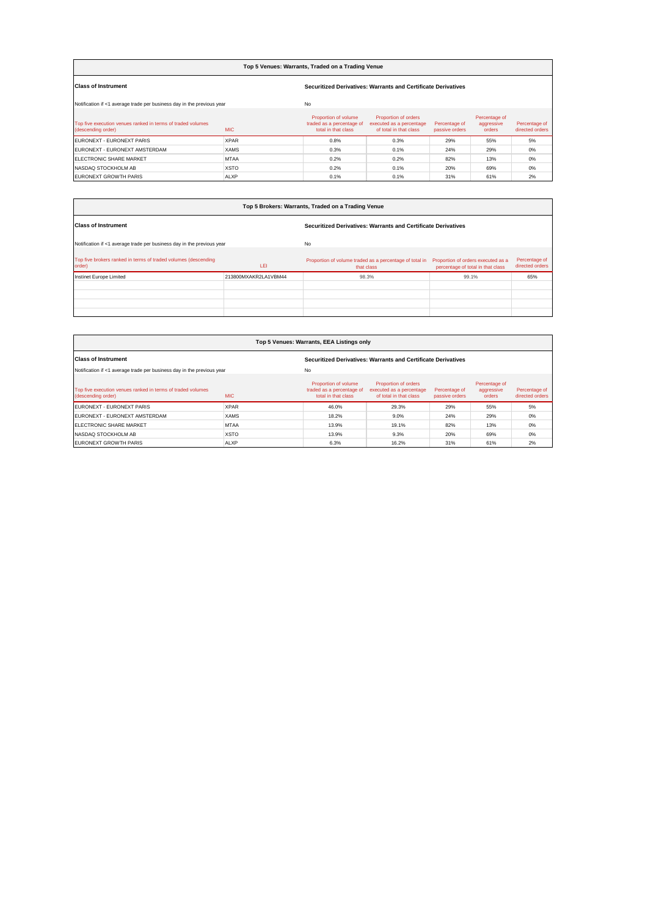| Top 5 Venues: Warrants, Traded on a Trading Venue                                 |             |                                                                          |                                                                            |                                 |                                       |                                  |  |  |  |
|-----------------------------------------------------------------------------------|-------------|--------------------------------------------------------------------------|----------------------------------------------------------------------------|---------------------------------|---------------------------------------|----------------------------------|--|--|--|
| <b>Class of Instrument</b>                                                        |             | Securitized Derivatives: Warrants and Certificate Derivatives            |                                                                            |                                 |                                       |                                  |  |  |  |
| Notification if <1 average trade per business day in the previous year            | No          |                                                                          |                                                                            |                                 |                                       |                                  |  |  |  |
| Top five execution venues ranked in terms of traded volumes<br>(descending order) | <b>MIC</b>  | Proportion of volume<br>traded as a percentage of<br>total in that class | Proportion of orders<br>executed as a percentage<br>of total in that class | Percentage of<br>passive orders | Percentage of<br>aggressive<br>orders | Percentage of<br>directed orders |  |  |  |
| EURONEXT - EURONEXT PARIS                                                         | <b>XPAR</b> | 0.8%                                                                     | 0.3%                                                                       | 29%                             | 55%                                   | 5%                               |  |  |  |
| EURONEXT - EURONEXT AMSTERDAM                                                     | <b>XAMS</b> | 0.3%                                                                     | 0.1%                                                                       | 24%                             | 29%                                   | 0%                               |  |  |  |
| <b>ELECTRONIC SHARE MARKET</b>                                                    | <b>MTAA</b> | 0.2%                                                                     | 0.2%                                                                       | 82%                             | 13%                                   | 0%                               |  |  |  |
| NASDAQ STOCKHOLM AB                                                               | <b>XSTO</b> | 0.2%                                                                     | 0.1%                                                                       | 20%                             | 69%                                   | 0%                               |  |  |  |
| <b>EURONEXT GROWTH PARIS</b>                                                      | <b>ALXP</b> | 0.1%                                                                     | 0.1%                                                                       | 31%                             | 61%                                   | 2%                               |  |  |  |

| Top 5 Brokers: Warrants, Traded on a Trading Venue                       |                      |                                                                       |                                                                         |                                  |  |  |  |  |
|--------------------------------------------------------------------------|----------------------|-----------------------------------------------------------------------|-------------------------------------------------------------------------|----------------------------------|--|--|--|--|
| <b>Class of Instrument</b>                                               |                      | Securitized Derivatives: Warrants and Certificate Derivatives         |                                                                         |                                  |  |  |  |  |
| Notification if <1 average trade per business day in the previous year   |                      | No                                                                    |                                                                         |                                  |  |  |  |  |
| Top five brokers ranked in terms of traded volumes (descending<br>order) | LEI                  | Proportion of volume traded as a percentage of total in<br>that class | Proportion of orders executed as a<br>percentage of total in that class | Percentage of<br>directed orders |  |  |  |  |
| Instinet Europe Limited                                                  | 213800MXAKR2LA1VBM44 | 98.3%                                                                 | 99.1%                                                                   | 65%                              |  |  |  |  |
|                                                                          |                      |                                                                       |                                                                         |                                  |  |  |  |  |
|                                                                          |                      |                                                                       |                                                                         |                                  |  |  |  |  |
|                                                                          |                      |                                                                       |                                                                         |                                  |  |  |  |  |
|                                                                          |                      |                                                                       |                                                                         |                                  |  |  |  |  |

| Top 5 Venues: Warrants, EEA Listings only                                         |             |                                                                          |                                                                            |                                 |                                       |                                  |  |  |  |
|-----------------------------------------------------------------------------------|-------------|--------------------------------------------------------------------------|----------------------------------------------------------------------------|---------------------------------|---------------------------------------|----------------------------------|--|--|--|
| <b>Class of Instrument</b>                                                        |             | Securitized Derivatives: Warrants and Certificate Derivatives            |                                                                            |                                 |                                       |                                  |  |  |  |
| Notification if <1 average trade per business day in the previous year            |             | No                                                                       |                                                                            |                                 |                                       |                                  |  |  |  |
| Top five execution venues ranked in terms of traded volumes<br>(descending order) | MIC.        | Proportion of volume<br>traded as a percentage of<br>total in that class | Proportion of orders<br>executed as a percentage<br>of total in that class | Percentage of<br>passive orders | Percentage of<br>aggressive<br>orders | Percentage of<br>directed orders |  |  |  |
| EURONEXT - EURONEXT PARIS                                                         | <b>XPAR</b> | 46.0%                                                                    | 29.3%                                                                      | 29%                             | 55%                                   | 5%                               |  |  |  |
| EURONEXT - EURONEXT AMSTERDAM                                                     | <b>XAMS</b> | 18.2%                                                                    | 9.0%                                                                       | 24%                             | 29%                                   | 0%                               |  |  |  |
| <b>ELECTRONIC SHARE MARKET</b>                                                    | <b>MTAA</b> | 13.9%                                                                    | 19.1%                                                                      | 82%                             | 13%                                   | 0%                               |  |  |  |
| NASDAQ STOCKHOLM AB                                                               | <b>XSTO</b> | 13.9%                                                                    | 9.3%                                                                       | 20%                             | 69%                                   | 0%                               |  |  |  |
| <b>EURONEXT GROWTH PARIS</b>                                                      | <b>ALXP</b> | 6.3%                                                                     | 16.2%                                                                      | 31%                             | 61%                                   | 2%                               |  |  |  |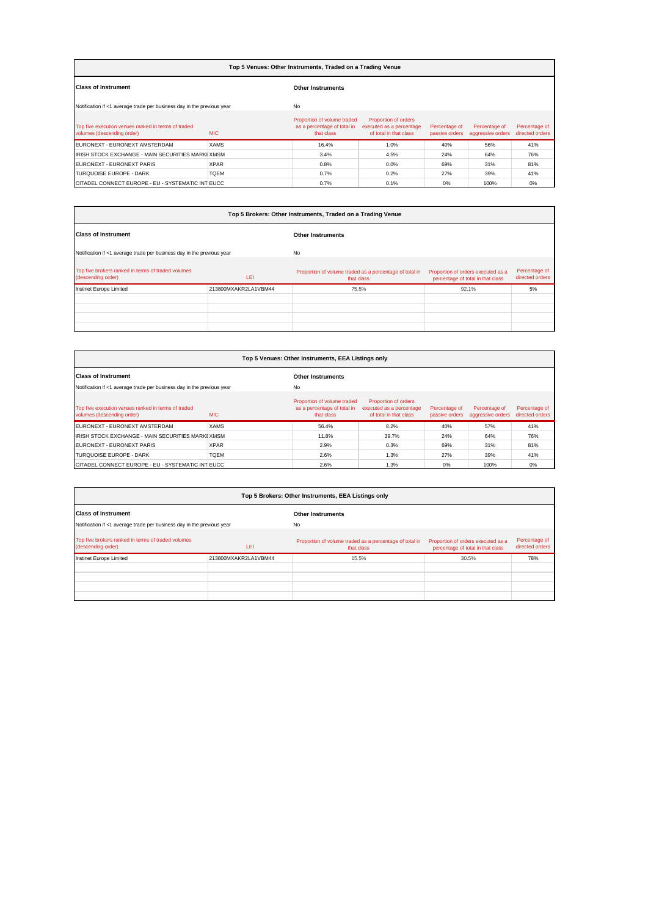| Top 5 Venues: Other Instruments, Traded on a Trading Venue                        |             |                                                                          |                                                                            |                                 |                                    |                                  |  |  |  |
|-----------------------------------------------------------------------------------|-------------|--------------------------------------------------------------------------|----------------------------------------------------------------------------|---------------------------------|------------------------------------|----------------------------------|--|--|--|
| <b>Class of Instrument</b>                                                        |             | <b>Other Instruments</b>                                                 |                                                                            |                                 |                                    |                                  |  |  |  |
| Notification if <1 average trade per business day in the previous year            |             | No                                                                       |                                                                            |                                 |                                    |                                  |  |  |  |
| Top five execution venues ranked in terms of traded<br>volumes (descending order) | <b>MIC</b>  | Proportion of volume traded<br>as a percentage of total in<br>that class | Proportion of orders<br>executed as a percentage<br>of total in that class | Percentage of<br>passive orders | Percentage of<br>aggressive orders | Percentage of<br>directed orders |  |  |  |
| EURONEXT - EURONEXT AMSTERDAM                                                     | <b>XAMS</b> | 16.4%                                                                    | 1.0%                                                                       | 40%                             | 56%                                | 41%                              |  |  |  |
| <b>IRISH STOCK EXCHANGE - MAIN SECURITIES MARKI XMSM</b>                          |             | 3.4%                                                                     | 4.5%                                                                       | 24%                             | 64%                                | 76%                              |  |  |  |
| EURONEXT - EURONEXT PARIS                                                         | <b>XPAR</b> | 0.8%                                                                     | 0.0%                                                                       | 69%                             | 31%                                | 81%                              |  |  |  |
| TURQUOISE EUROPE - DARK                                                           | <b>TOEM</b> | 0.7%                                                                     | 0.2%                                                                       | 27%                             | 39%                                | 41%                              |  |  |  |
| CITADEL CONNECT EUROPE - EU - SYSTEMATIC INT EUCC                                 |             | 0.7%                                                                     | 0.1%                                                                       | 0%                              | 100%                               | 0%                               |  |  |  |

|                                                                          |                      | Top 5 Brokers: Other Instruments, Traded on a Trading Venue           |                                                                         |                                  |  |  |  |  |
|--------------------------------------------------------------------------|----------------------|-----------------------------------------------------------------------|-------------------------------------------------------------------------|----------------------------------|--|--|--|--|
| <b>Class of Instrument</b>                                               |                      | <b>Other Instruments</b>                                              |                                                                         |                                  |  |  |  |  |
| Notification if <1 average trade per business day in the previous year   |                      | No                                                                    |                                                                         |                                  |  |  |  |  |
| Top five brokers ranked in terms of traded volumes<br>(descending order) | LEI                  | Proportion of volume traded as a percentage of total in<br>that class | Proportion of orders executed as a<br>percentage of total in that class | Percentage of<br>directed orders |  |  |  |  |
| Instinet Europe Limited                                                  | 213800MXAKR2LA1VBM44 | 75.5%                                                                 | 92.1%                                                                   | 5%                               |  |  |  |  |
|                                                                          |                      |                                                                       |                                                                         |                                  |  |  |  |  |
|                                                                          |                      |                                                                       |                                                                         |                                  |  |  |  |  |
|                                                                          |                      |                                                                       |                                                                         |                                  |  |  |  |  |
|                                                                          |                      |                                                                       |                                                                         |                                  |  |  |  |  |

| Top 5 Venues: Other Instruments, EEA Listings only                                |             |                                                                          |                                                                            |                                 |                                    |                                  |  |  |
|-----------------------------------------------------------------------------------|-------------|--------------------------------------------------------------------------|----------------------------------------------------------------------------|---------------------------------|------------------------------------|----------------------------------|--|--|
| <b>Class of Instrument</b>                                                        |             | <b>Other Instruments</b>                                                 |                                                                            |                                 |                                    |                                  |  |  |
| Notification if <1 average trade per business day in the previous year            |             | <b>No</b>                                                                |                                                                            |                                 |                                    |                                  |  |  |
| Top five execution venues ranked in terms of traded<br>volumes (descending order) | <b>MIC</b>  | Proportion of volume traded<br>as a percentage of total in<br>that class | Proportion of orders<br>executed as a percentage<br>of total in that class | Percentage of<br>passive orders | Percentage of<br>aggressive orders | Percentage of<br>directed orders |  |  |
| EURONEXT - EURONEXT AMSTERDAM                                                     | <b>XAMS</b> | 56.4%                                                                    | 8.2%                                                                       | 40%                             | 57%                                | 41%                              |  |  |
| <b>IRISH STOCK EXCHANGE - MAIN SECURITIES MARKI XMSM</b>                          |             | 11.8%                                                                    | 39.7%                                                                      | 24%                             | 64%                                | 76%                              |  |  |
| EURONEXT - EURONEXT PARIS                                                         | <b>XPAR</b> | 2.9%                                                                     | 0.3%                                                                       | 69%                             | 31%                                | 81%                              |  |  |
| TURQUOISE EUROPE - DARK                                                           | <b>TOEM</b> | 2.6%                                                                     | 1.3%                                                                       | 27%                             | 39%                                | 41%                              |  |  |
| CITADEL CONNECT EUROPE - EU - SYSTEMATIC INT EUCC                                 |             | 2.6%                                                                     | 1.3%                                                                       | 0%                              | 100%                               | 0%                               |  |  |

| Top 5 Brokers: Other Instruments, EEA Listings only                      |                      |                                                                       |                                                                         |                                  |  |  |  |  |  |
|--------------------------------------------------------------------------|----------------------|-----------------------------------------------------------------------|-------------------------------------------------------------------------|----------------------------------|--|--|--|--|--|
| <b>Class of Instrument</b>                                               |                      | <b>Other Instruments</b>                                              |                                                                         |                                  |  |  |  |  |  |
| Notification if <1 average trade per business day in the previous year   |                      | No                                                                    |                                                                         |                                  |  |  |  |  |  |
| Top five brokers ranked in terms of traded volumes<br>(descending order) | LEI                  | Proportion of volume traded as a percentage of total in<br>that class | Proportion of orders executed as a<br>percentage of total in that class | Percentage of<br>directed orders |  |  |  |  |  |
| Instinet Europe Limited                                                  | 213800MXAKR2LA1VBM44 | 15.5%                                                                 | 30.5%                                                                   | 78%                              |  |  |  |  |  |
|                                                                          |                      |                                                                       |                                                                         |                                  |  |  |  |  |  |
|                                                                          |                      |                                                                       |                                                                         |                                  |  |  |  |  |  |
|                                                                          |                      |                                                                       |                                                                         |                                  |  |  |  |  |  |
|                                                                          |                      |                                                                       |                                                                         |                                  |  |  |  |  |  |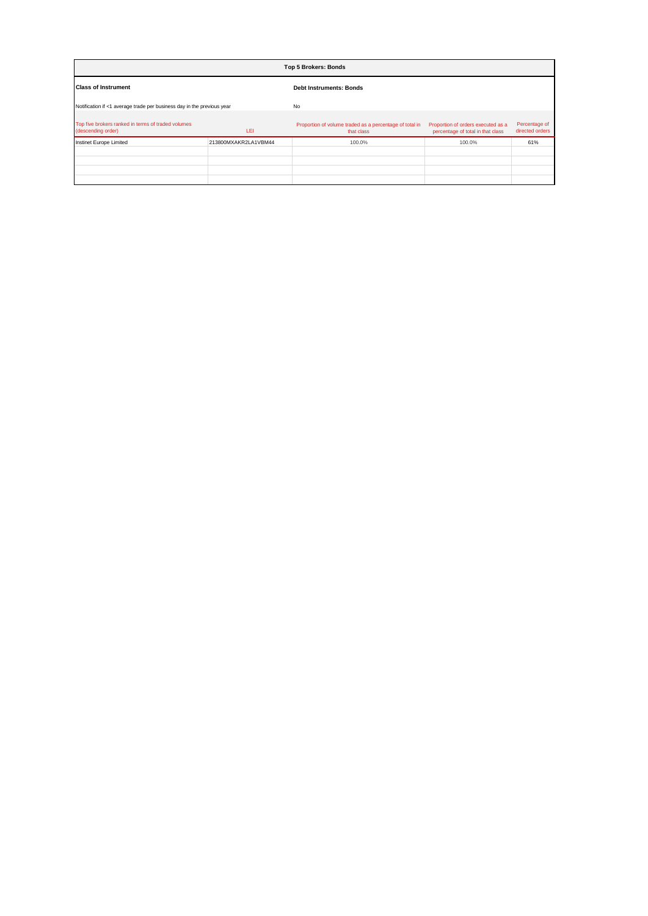| <b>Top 5 Brokers: Bonds</b>                                              |                      |                                                                       |                                                                         |                                  |
|--------------------------------------------------------------------------|----------------------|-----------------------------------------------------------------------|-------------------------------------------------------------------------|----------------------------------|
| <b>Class of Instrument</b>                                               |                      | <b>Debt Instruments: Bonds</b>                                        |                                                                         |                                  |
| Notification if <1 average trade per business day in the previous year   |                      | No                                                                    |                                                                         |                                  |
| Top five brokers ranked in terms of traded volumes<br>(descending order) | LEI                  | Proportion of volume traded as a percentage of total in<br>that class | Proportion of orders executed as a<br>percentage of total in that class | Percentage of<br>directed orders |
| Instinet Europe Limited                                                  | 213800MXAKR2LA1VBM44 | 100.0%                                                                | 100.0%                                                                  | 61%                              |
|                                                                          |                      |                                                                       |                                                                         |                                  |
|                                                                          |                      |                                                                       |                                                                         |                                  |
|                                                                          |                      |                                                                       |                                                                         |                                  |
|                                                                          |                      |                                                                       |                                                                         |                                  |